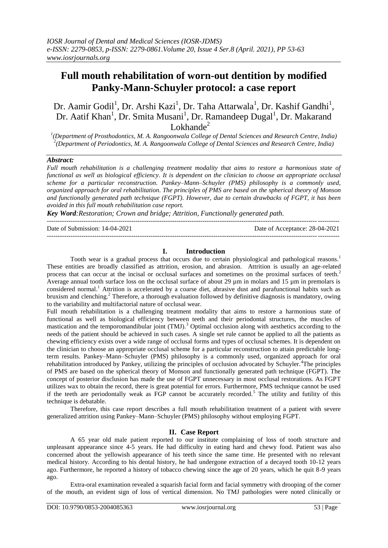# **Full mouth rehabilitation of worn-out dentition by modified Panky-Mann-Schuyler protocol: a case report**

Dr. Aamir Godil<sup>1</sup>, Dr. Arshi Kazi<sup>1</sup>, Dr. Taha Attarwala<sup>1</sup>, Dr. Kashif Gandhi<sup>1</sup>, Dr. Aatif Khan<sup>1</sup>, Dr. Smita Musani<sup>1</sup>, Dr. Ramandeep Dugal<sup>1</sup>, Dr. Makarand Lokhande $2$ 

*1 (Department of Prosthodontics, M. A. Rangoonwala College of Dental Sciences and Research Centre, India) 2 (Department of Periodontics, M. A. Rangoonwala College of Dental Sciences and Research Centre, India)*

## *Abstract:*

*Full mouth rehabilitation is a challenging treatment modality that aims to restore a harmonious state of functional as well as biological efficiency. It is dependent on the clinician to choose an appropriate occlusal scheme for a particular reconstruction. Pankey–Mann–Schuyler (PMS) philosophy is a commonly used, organized approach for oral rehabilitation. The principles of PMS are based on the spherical theory of Monson and functionally generated path technique (FGPT). However, due to certain drawbacks of FGPT, it has been avoided in this full mouth rehabilitation case report.* 

*Key Word:Restoration; Crown and bridge; Attrition, Functionally generated path.*

---------------------------------------------------------------------------------------------------------------------------------------

Date of Submission: 14-04-2021 Date of Acceptance: 28-04-2021

# **I. Introduction**

Tooth wear is a gradual process that occurs due to certain physiological and pathological reasons.<sup>1</sup> These entities are broadly classified as attrition, erosion, and abrasion. Attrition is usually an age-related process that can occur at the incisal or occlusal surfaces and sometimes on the proximal surfaces of teeth.<sup>2</sup> Average annual tooth surface loss on the occlusal surface of about 29 µm in molars and 15 µm in premolars is considered normal.<sup>1</sup> Attrition is accelerated by a coarse diet, abrasive dust and parafunctional habits such as bruxism and clenching.<sup>2</sup> Therefore, a thorough evaluation followed by definitive diagnosis is mandatory, owing to the variability and multifactorial nature of occlusal wear.

Full mouth rehabilitation is a challenging treatment modality that aims to restore a harmonious state of functional as well as biological efficiency between teeth and their periodontal structures, the muscles of mastication and the temporomandibular joint (TMJ).<sup>3</sup> Optimal occlusion along with aesthetics according to the needs of the patient should be achieved in such cases. A single set rule cannot be applied to all the patients as chewing efficiency exists over a wide range of occlusal forms and types of occlusal schemes. It is dependent on the clinician to choose an appropriate occlusal scheme for a particular reconstruction to attain predictable longterm results. Pankey–Mann–Schuyler (PMS) philosophy is a commonly used, organized approach for oral rehabilitation introduced by Pankey, utilizing the principles of occlusion advocated by Schuyler.<sup>4</sup>The principles of PMS are based on the spherical theory of Monson and functionally generated path technique (FGPT). The concept of posterior disclusion has made the use of FGPT unnecessary in most occlusal restorations. As FGPT utilizes wax to obtain the record, there is great potential for errors. Furthermore, PMS technique cannot be used if the teeth are periodontally weak as FGP cannot be accurately recorded.<sup>5</sup> The utility and futility of this technique is debatable.

Therefore, this case report describes a full mouth rehabilitation treatment of a patient with severe generalized attrition using Pankey–Mann–Schuyler (PMS) philosophy without employing FGPT.

# **II. Case Report**

A 65 year old male patient reported to our institute complaining of loss of tooth structure and unpleasant appearance since 4-5 years. He had difficulty in eating hard and chewy food. Patient was also concerned about the yellowish appearance of his teeth since the same time. He presented with no relevant medical history. According to his dental history, he had undergone extraction of a decayed tooth 10-12 years ago. Furthermore, he reported a history of tobacco chewing since the age of 20 years, which he quit 8-9 years ago.

Extra-oral examination revealed a squarish facial form and facial symmetry with drooping of the corner of the mouth, an evident sign of loss of vertical dimension. No TMJ pathologies were noted clinically or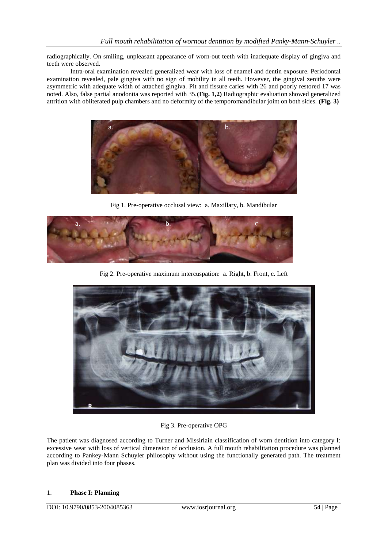radiographically. On smiling, unpleasant appearance of worn-out teeth with inadequate display of gingiva and teeth were observed.

Intra-oral examination revealed generalized wear with loss of enamel and dentin exposure. Periodontal examination revealed, pale gingiva with no sign of mobility in all teeth. However, the gingival zeniths were asymmetric with adequate width of attached gingiva. Pit and fissure caries with 26 and poorly restored 17 was noted. Also, false partial anodontia was reported with 35.**(Fig. 1,2)** Radiographic evaluation showed generalized attrition with obliterated pulp chambers and no deformity of the temporomandibular joint on both sides. **(Fig. 3)**



Fig 1. Pre-operative occlusal view: a. Maxillary, b. Mandibular



Fig 2. Pre-operative maximum intercuspation: a. Right, b. Front, c. Left



Fig 3. Pre-operative OPG

The patient was diagnosed according to Turner and Missirlain classification of worn dentition into category I: excessive wear with loss of vertical dimension of occlusion. A full mouth rehabilitation procedure was planned according to Pankey-Mann Schuyler philosophy without using the functionally generated path. The treatment plan was divided into four phases.

#### 1. **Phase I: Planning**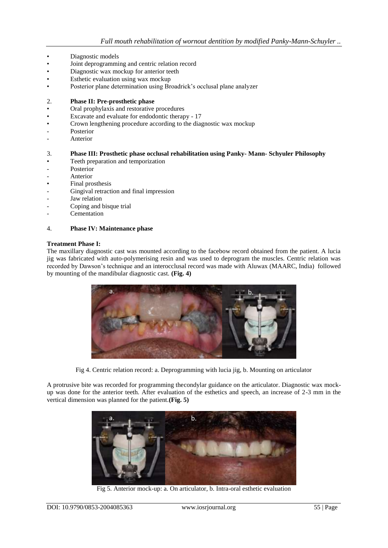- Diagnostic models
- Joint deprogramming and centric relation record
- Diagnostic wax mockup for anterior teeth
- Esthetic evaluation using wax mockup
- Posterior plane determination using Broadrick's occlusal plane analyzer

#### 2. **Phase II: Pre-prosthetic phase**

- Oral prophylaxis and restorative procedures
- Excavate and evaluate for endodontic therapy 17
- Crown lengthening procedure according to the diagnostic wax mockup
- Posterior
- **Anterior**

## 3. **Phase III: Prosthetic phase occlusal rehabilitation using Panky- Mann- Schyuler Philosophy**

- Teeth preparation and temporization
- Posterior
- **Anterior**
- Final prosthesis
- Gingival retraction and final impression
- Jaw relation
- Coping and bisque trial
- **Cementation**

#### 4. **Phase IV: Maintenance phase**

#### **Treatment Phase I:**

The maxillary diagnostic cast was mounted according to the facebow record obtained from the patient. A lucia jig was fabricated with auto-polymerising resin and was used to deprogram the muscles. Centric relation was recorded by Dawson's technique and an interocclusal record was made with Aluwax (MAARC, India) followed by mounting of the mandibular diagnostic cast. **(Fig. 4)**



Fig 4. Centric relation record: a. Deprogramming with lucia jig, b. Mounting on articulator

A protrusive bite was recorded for programming thecondylar guidance on the articulator. Diagnostic wax mockup was done for the anterior teeth. After evaluation of the esthetics and speech, an increase of 2-3 mm in the vertical dimension was planned for the patient.**(Fig. 5)**



Fig 5. Anterior mock-up: a. On articulator, b. Intra-oral esthetic evaluation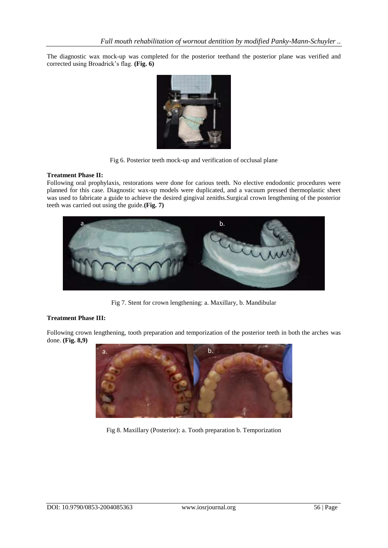The diagnostic wax mock-up was completed for the posterior teethand the posterior plane was verified and corrected using Broadrick's flag. **(Fig. 6)**



Fig 6. Posterior teeth mock-up and verification of occlusal plane

## **Treatment Phase II:**

Following oral prophylaxis, restorations were done for carious teeth. No elective endodontic procedures were planned for this case. Diagnostic wax-up models were duplicated, and a vacuum pressed thermoplastic sheet was used to fabricate a guide to achieve the desired gingival zeniths.Surgical crown lengthening of the posterior teeth was carried out using the guide.**(Fig. 7)**



Fig 7. Stent for crown lengthening: a. Maxillary, b. Mandibular

# **Treatment Phase III:**

Following crown lengthening, tooth preparation and temporization of the posterior teeth in both the arches was done. **(Fig. 8,9)**



Fig 8. Maxillary (Posterior): a. Tooth preparation b. Temporization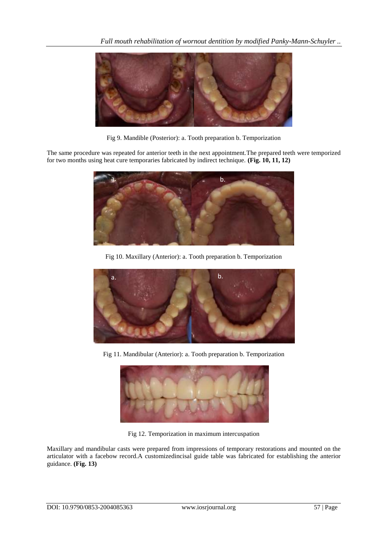

Fig 9. Mandible (Posterior): a. Tooth preparation b. Temporization

The same procedure was repeated for anterior teeth in the next appointment.The prepared teeth were temporized for two months using heat cure temporaries fabricated by indirect technique. **(Fig. 10, 11, 12)**



Fig 10. Maxillary (Anterior): a. Tooth preparation b. Temporization



Fig 11. Mandibular (Anterior): a. Tooth preparation b. Temporization



Fig 12. Temporization in maximum intercuspation

Maxillary and mandibular casts were prepared from impressions of temporary restorations and mounted on the articulator with a facebow record.A customizedincisal guide table was fabricated for establishing the anterior guidance. **(Fig. 13)**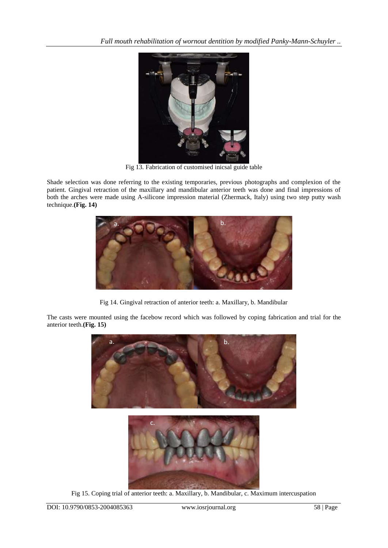

Fig 13. Fabrication of customised inicsal guide table

Shade selection was done referring to the existing temporaries, previous photographs and complexion of the patient. Gingival retraction of the maxillary and mandibular anterior teeth was done and final impressions of both the arches were made using A-silicone impression material (Zhermack, Italy) using two step putty wash technique.**(Fig. 14)**



Fig 14. Gingival retraction of anterior teeth: a. Maxillary, b. Mandibular

The casts were mounted using the facebow record which was followed by coping fabrication and trial for the anterior teeth.**(Fig. 15)**



Fig 15. Coping trial of anterior teeth: a. Maxillary, b. Mandibular, c. Maximum intercuspation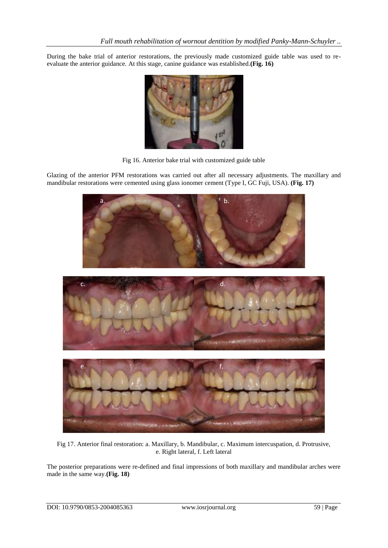During the bake trial of anterior restorations, the previously made customized guide table was used to reevaluate the anterior guidance. At this stage, canine guidance was established.**(Fig. 16)**



Fig 16. Anterior bake trial with customized guide table

Glazing of the anterior PFM restorations was carried out after all necessary adjustments. The maxillary and mandibular restorations were cemented using glass ionomer cement (Type I, GC Fuji, USA). **(Fig. 17)**



Fig 17. Anterior final restoration: a. Maxillary, b. Mandibular, c. Maximum intercuspation, d. Protrusive, e. Right lateral, f. Left lateral

The posterior preparations were re-defined and final impressions of both maxillary and mandibular arches were made in the same way.**(Fig. 18)**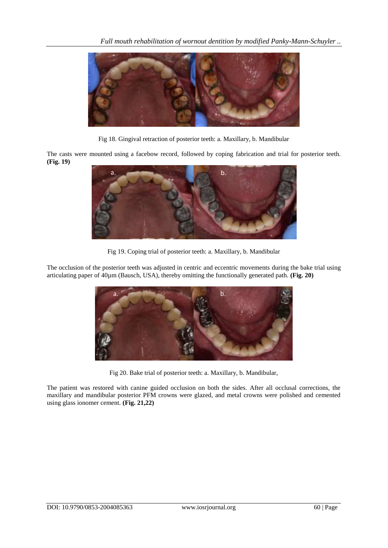

Fig 18. Gingival retraction of posterior teeth: a. Maxillary, b. Mandibular

The casts were mounted using a facebow record, followed by coping fabrication and trial for posterior teeth. **(Fig. 19)**



Fig 19. Coping trial of posterior teeth: a. Maxillary, b. Mandibular

The occlusion of the posterior teeth was adjusted in centric and eccentric movements during the bake trial using articulating paper of 40µm (Bausch, USA), thereby omitting the functionally generated path. **(Fig. 20)**



Fig 20. Bake trial of posterior teeth: a. Maxillary, b. Mandibular,

The patient was restored with canine guided occlusion on both the sides. After all occlusal corrections, the maxillary and mandibular posterior PFM crowns were glazed, and metal crowns were polished and cemented using glass ionomer cement. **(Fig. 21,22)**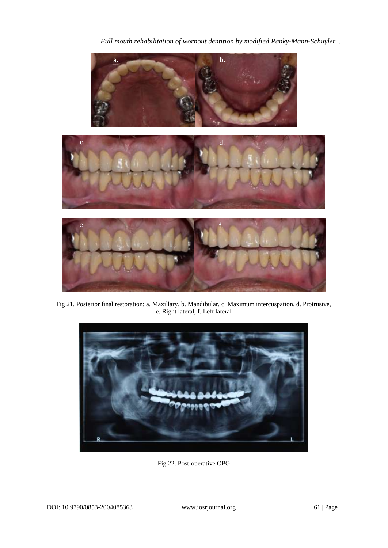*Full mouth rehabilitation of wornout dentition by modified Panky-Mann-Schuyler ..*



Fig 21. Posterior final restoration: a. Maxillary, b. Mandibular, c. Maximum intercuspation, d. Protrusive, e. Right lateral, f. Left lateral



Fig 22. Post-operative OPG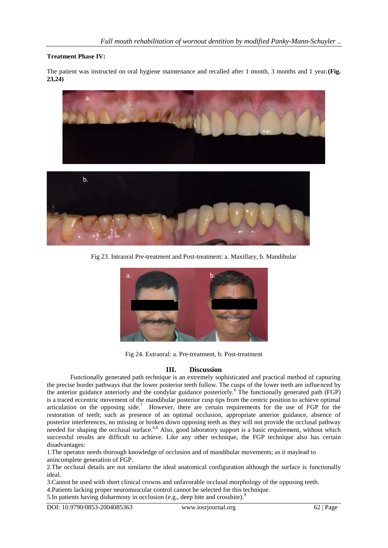## **Treatment Phase IV:**

The patient was instructed on oral hygiene maintenance and recalled after 1 month, 3 months and 1 year.**(Fig. 23,24)**



Fig 23. Intraoral Pre-treatment and Post-treatment: a. Maxillary, b. Mandibular



Fig 24. Extraoral: a. Pre-treatment, b. Post-treatment

# **III. Discussion**

Functionally generated path technique is an extremely sophisticated and practical method of capturing the precise border pathways that the lower posterior teeth follow. The cusps of the lower teeth are influenced by the anterior guidance anteriorly and the condylar guidance posteriorly.<sup>6</sup> The functionally generated path (FGP) is a traced eccentric movement of the mandibular posterior cusp tips from the centric position to achieve optimal articulation on the opposing side.<sup>7</sup> However, there are certain requirements for the use of FGP for the restoration of teeth; such as presence of an optimal occlusion, appropriate anterior guidance, absence of posterior interferences, no missing or broken down opposing teeth as they will not provide the occlusal pathway needed for shaping the occlusal surface.<sup>6,8</sup> Also, good laboratory support is a basic requirement, without which successful results are difficult to achieve. Like any other technique, the FGP technique also has certain disadvantages:

1.The operator needs thorough knowledge of occlusion and of mandibular movements; as it maylead to anincomplete generation of FGP.

2.The occlusal details are not similarto the ideal anatomical configuration although the surface is functionally ideal.

3.Cannot be used with short clinical crowns and unfavorable occlusal morphology of the opposing teeth.

4.Patients lacking proper neuromuscular control cannot be selected for this technique.

5. In patients having disharmony in occlusion (e.g., deep bite and crossbite).